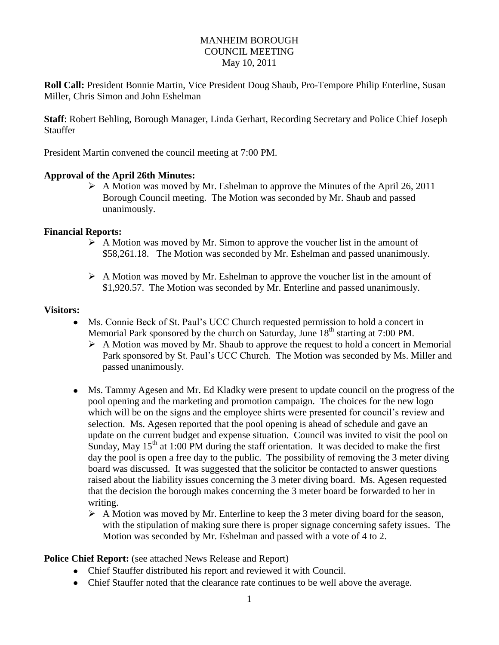#### MANHEIM BOROUGH COUNCIL MEETING May 10, 2011

**Roll Call:** President Bonnie Martin, Vice President Doug Shaub, Pro-Tempore Philip Enterline, Susan Miller, Chris Simon and John Eshelman

**Staff**: Robert Behling, Borough Manager, Linda Gerhart, Recording Secretary and Police Chief Joseph Stauffer

President Martin convened the council meeting at 7:00 PM.

#### **Approval of the April 26th Minutes:**

 $\triangleright$  A Motion was moved by Mr. Eshelman to approve the Minutes of the April 26, 2011 Borough Council meeting. The Motion was seconded by Mr. Shaub and passed unanimously.

#### **Financial Reports:**

- $\triangleright$  A Motion was moved by Mr. Simon to approve the voucher list in the amount of \$58,261.18. The Motion was seconded by Mr. Eshelman and passed unanimously.
- $\triangleright$  A Motion was moved by Mr. Eshelman to approve the voucher list in the amount of \$1,920.57. The Motion was seconded by Mr. Enterline and passed unanimously.

#### **Visitors:**

- Ms. Connie Beck of St. Paul's UCC Church requested permission to hold a concert in Memorial Park sponsored by the church on Saturday, June  $18<sup>th</sup>$  starting at 7:00 PM.
	- $\triangleright$  A Motion was moved by Mr. Shaub to approve the request to hold a concert in Memorial Park sponsored by St. Paul's UCC Church. The Motion was seconded by Ms. Miller and passed unanimously.
- Ms. Tammy Agesen and Mr. Ed Kladky were present to update council on the progress of the pool opening and the marketing and promotion campaign. The choices for the new logo which will be on the signs and the employee shirts were presented for council's review and selection. Ms. Agesen reported that the pool opening is ahead of schedule and gave an update on the current budget and expense situation. Council was invited to visit the pool on Sunday, May  $15<sup>th</sup>$  at 1:00 PM during the staff orientation. It was decided to make the first day the pool is open a free day to the public. The possibility of removing the 3 meter diving board was discussed. It was suggested that the solicitor be contacted to answer questions raised about the liability issues concerning the 3 meter diving board. Ms. Agesen requested that the decision the borough makes concerning the 3 meter board be forwarded to her in writing.
	- $\triangleright$  A Motion was moved by Mr. Enterline to keep the 3 meter diving board for the season, with the stipulation of making sure there is proper signage concerning safety issues. The Motion was seconded by Mr. Eshelman and passed with a vote of 4 to 2.

**Police Chief Report:** (see attached News Release and Report)

- Chief Stauffer distributed his report and reviewed it with Council.
- Chief Stauffer noted that the clearance rate continues to be well above the average.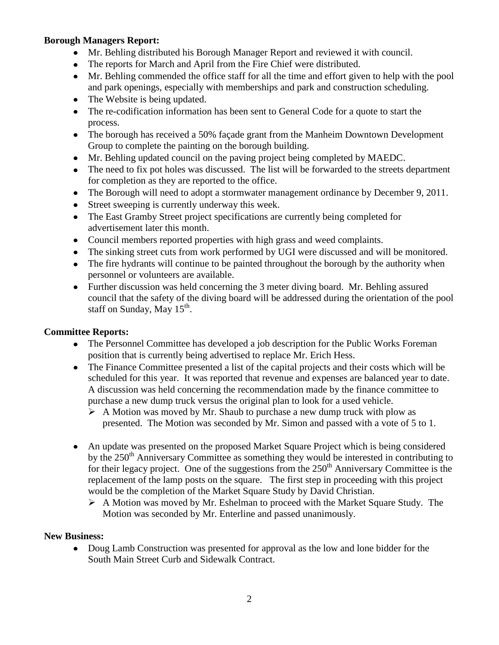# **Borough Managers Report:**

- Mr. Behling distributed his Borough Manager Report and reviewed it with council.
- The reports for March and April from the Fire Chief were distributed.
- Mr. Behling commended the office staff for all the time and effort given to help with the pool and park openings, especially with memberships and park and construction scheduling.
- The Website is being updated.
- The re-codification information has been sent to General Code for a quote to start the process.
- The borough has received a 50% façade grant from the Manheim Downtown Development Group to complete the painting on the borough building.
- Mr. Behling updated council on the paving project being completed by MAEDC.
- The need to fix pot holes was discussed. The list will be forwarded to the streets department for completion as they are reported to the office.
- The Borough will need to adopt a stormwater management ordinance by December 9, 2011.
- Street sweeping is currently underway this week.
- The East Gramby Street project specifications are currently being completed for advertisement later this month.
- Council members reported properties with high grass and weed complaints.
- The sinking street cuts from work performed by UGI were discussed and will be monitored.
- The fire hydrants will continue to be painted throughout the borough by the authority when personnel or volunteers are available.
- Further discussion was held concerning the 3 meter diving board. Mr. Behling assured council that the safety of the diving board will be addressed during the orientation of the pool staff on Sunday, May  $15^{th}$ .

# **Committee Reports:**

- The Personnel Committee has developed a job description for the Public Works Foreman position that is currently being advertised to replace Mr. Erich Hess.
- The Finance Committee presented a list of the capital projects and their costs which will be scheduled for this year. It was reported that revenue and expenses are balanced year to date. A discussion was held concerning the recommendation made by the finance committee to purchase a new dump truck versus the original plan to look for a used vehicle.
	- $\triangleright$  A Motion was moved by Mr. Shaub to purchase a new dump truck with plow as presented. The Motion was seconded by Mr. Simon and passed with a vote of 5 to 1.
- An update was presented on the proposed Market Square Project which is being considered by the  $250<sup>th</sup>$  Anniversary Committee as something they would be interested in contributing to for their legacy project. One of the suggestions from the  $250<sup>th</sup>$  Anniversary Committee is the replacement of the lamp posts on the square. The first step in proceeding with this project would be the completion of the Market Square Study by David Christian.
	- A Motion was moved by Mr. Eshelman to proceed with the Market Square Study. The Motion was seconded by Mr. Enterline and passed unanimously.

# **New Business:**

Doug Lamb Construction was presented for approval as the low and lone bidder for the  $\bullet$ South Main Street Curb and Sidewalk Contract.